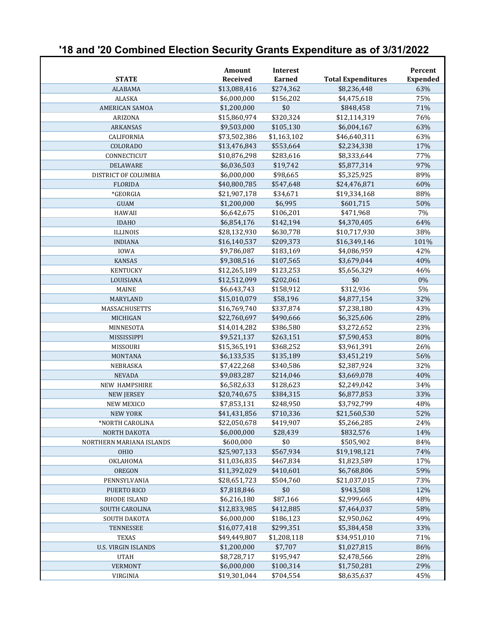## **'18 and '20 Combined Election Security Grants Expenditure as of 3/31/2022**

|                            | <b>Amount</b>   | <b>Interest</b> |                           | Percent         |
|----------------------------|-----------------|-----------------|---------------------------|-----------------|
| <b>STATE</b>               | <b>Received</b> | <b>Earned</b>   | <b>Total Expenditures</b> | <b>Expended</b> |
| <b>ALABAMA</b>             | \$13,088,416    | \$274,362       | \$8,236,448               | 63%             |
| <b>ALASKA</b>              | \$6,000,000     | \$156,202       | \$4,475,618               | 75%             |
| <b>AMERICAN SAMOA</b>      | \$1,200,000     | \$0             | \$848,458                 | 71%             |
| ARIZONA                    | \$15,860,974    | \$320,324       | \$12,114,319              | 76%             |
| <b>ARKANSAS</b>            | \$9,503,000     | \$105,130       | \$6,004,167               | 63%             |
| CALIFORNIA                 | \$73,502,386    | \$1,163,102     | \$46,640,311              | 63%             |
| COLORADO                   | \$13,476,843    | \$553,664       | \$2,234,338               | 17%             |
| CONNECTICUT                | \$10,876,298    | \$283,616       | \$8,333,644               | 77%             |
| <b>DELAWARE</b>            | \$6,036,503     | \$19,742        | \$5,877,314               | 97%             |
| DISTRICT OF COLUMBIA       | \$6,000,000     | \$98,665        | \$5,325,925               | 89%             |
| <b>FLORIDA</b>             | \$40,800,785    | \$547,648       | \$24,476,871              | 60%             |
| *GEORGIA                   | \$21,907,178    | \$34,671        | \$19,334,168              | 88%             |
| <b>GUAM</b>                | \$1,200,000     | \$6,995         | \$601,715                 | 50%             |
| <b>HAWAII</b>              | \$6,642,675     | \$106,201       | \$471,968                 | 7%              |
| <b>IDAHO</b>               | \$6,854,176     | \$142,194       | \$4,370,405               | 64%             |
| <b>ILLINOIS</b>            | \$28,132,930    | \$630,778       | \$10,717,930              | 38%             |
| <b>INDIANA</b>             | \$16,140,537    | \$209,373       | \$16,349,146              | 101%            |
| <b>IOWA</b>                | \$9,786,087     | \$183,169       | \$4,086,959               | 42%             |
| <b>KANSAS</b>              | \$9,308,516     | \$107,565       | \$3,679,044               | 40%             |
| <b>KENTUCKY</b>            | \$12,265,189    | \$123,253       | \$5,656,329               | 46%             |
| LOUISIANA                  | \$12,512,099    | \$202,061       | \$0                       | 0%              |
| <b>MAINE</b>               | \$6,643,743     | \$158,912       | \$312,936                 | 5%              |
| <b>MARYLAND</b>            | \$15,010,079    | \$58,196        | \$4,877,154               | 32%             |
| MASSACHUSETTS              | \$16,769,740    | \$337,874       | \$7,238,180               | 43%             |
| MICHIGAN                   | \$22,760,697    | \$490,666       | \$6,325,606               | 28%             |
| MINNESOTA                  | \$14,014,282    | \$386,580       | \$3,272,652               | 23%             |
| MISSISSIPPI                | \$9,521,137     | \$263,151       | \$7,590,453               | 80%             |
| MISSOURI                   | \$15,365,191    | \$368,252       | \$3,961,391               | 26%             |
| MONTANA                    | \$6,133,535     | \$135,189       | \$3,451,219               | 56%             |
| NEBRASKA                   | \$7,422,268     | \$340,586       | \$2,387,924               | 32%             |
| <b>NEVADA</b>              | \$9,083,287     | \$214,046       | \$3,669,078               | 40%             |
| NEW HAMPSHIRE              | \$6,582,633     | \$128,623       | \$2,249,042               | 34%             |
| <b>NEW JERSEY</b>          | \$20,740,675    | \$384,315       | \$6,877,853               | 33%             |
| <b>NEW MEXICO</b>          | \$7,853,131     | \$248,950       | \$3,792,799               | 48%             |
| <b>NEW YORK</b>            | \$41,431,856    | \$710,336       | \$21,560,530              | 52%             |
| *NORTH CAROLINA            | \$22,050,678    | \$419,907       | \$5,266,285               | 24%             |
| NORTH DAKOTA               | \$6,000,000     | \$28,439        | \$832,576                 | 14%             |
| NORTHERN MARIANA ISLANDS   | \$600,000       | \$0             | \$505,902                 | 84%             |
| <b>OHIO</b>                | \$25,907,133    | \$567,934       | \$19,198,121              | 74%             |
| OKLAHOMA                   | \$11,036,835    | \$467,834       | \$1,823,589               | 17%             |
| <b>OREGON</b>              | \$11,392,029    | \$410,601       | \$6,768,806               | 59%             |
| PENNSYLVANIA               | \$28,651,723    | \$504,760       | \$21,037,015              | 73%             |
| PUERTO RICO                | \$7,818,846     | \$0             | \$943,508                 | 12%             |
| <b>RHODE ISLAND</b>        | \$6,216,180     | \$87,166        | \$2,999,665               | 48%             |
| SOUTH CAROLINA             | \$12,833,985    | \$412,885       | \$7,464,037               | 58%             |
| SOUTH DAKOTA               | \$6,000,000     | \$186,123       | \$2,950,062               | 49%             |
| <b>TENNESSEE</b>           | \$16,077,418    | \$299,351       | \$5,384,458               | 33%             |
| <b>TEXAS</b>               | \$49,449,807    | \$1,208,118     | \$34,951,010              | 71%             |
| <b>U.S. VIRGIN ISLANDS</b> | \$1,200,000     | \$7,707         | \$1,027,815               | 86%             |
| <b>UTAH</b>                | \$8,728,717     | \$195,947       | \$2,478,566               | 28%             |
| <b>VERMONT</b>             | \$6,000,000     | \$100,314       | \$1,750,281               | 29%             |
| VIRGINIA                   | \$19,301,044    | \$704,554       | \$8,635,637               | 45%             |